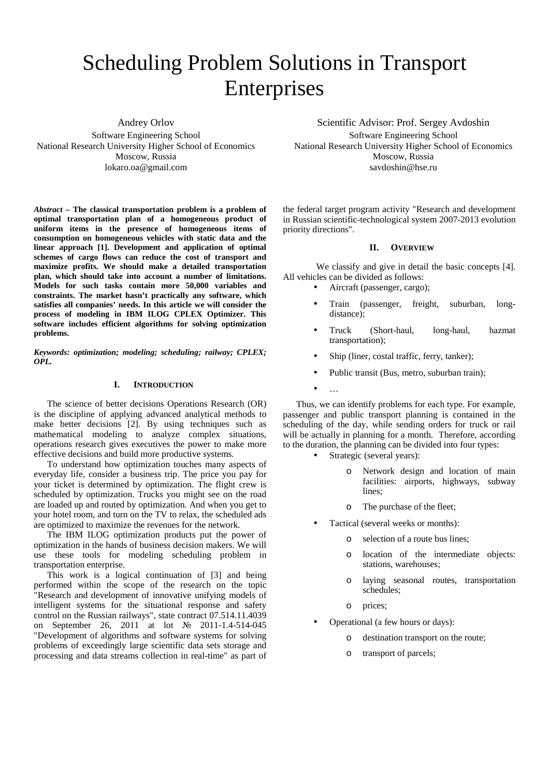# Scheduling Problem Solutions in Transport Enterprises

Andrey Orlov

Software Engineering School National Research University Higher School of Economics Moscow, Russia lokaro.oa@gmail.com

*Abstract –* **The classical transportation problem is a problem of optimal transportation plan of a homogeneous product of uniform items in the presence of homogeneous items of consumption on homogeneous vehicles with static data and the linear approach [1]. Development and application of optimal schemes of cargo flows can reduce the cost of transport and maximize profits. We should make a detailed transportation plan, which should take into account a number of limitations. Models for such tasks contain more 50,000 variables and constraints. The market hasn't practically any software, which satisfies all companies' needs. In this article we will consider the process of modeling in IBM ILOG CPLEX Optimizer. This software includes efficient algorithms for solving optimization problems.**

*Keywords: optimization; modeling; scheduling; railway; CPLEX; OPL.* 

# **I. INTRODUCTION**

The science of better decisions Operations Research (OR) is the discipline of applying advanced analytical methods to make better decisions [2]. By using techniques such as mathematical modeling to analyze complex situations, operations research gives executives the power to make more effective decisions and build more productive systems.

To understand how optimization touches many aspects of everyday life, consider a business trip. The price you pay for your ticket is determined by optimization. The flight crew is scheduled by optimization. Trucks you might see on the road are loaded up and routed by optimization. And when you get to your hotel room, and turn on the TV to relax, the scheduled ads are optimized to maximize the revenues for the network.

The IBM ILOG optimization products put the power of optimization in the hands of business decision makers. We will use these tools for modeling scheduling problem in transportation enterprise.

This work is a logical continuation of [3] and being performed within the scope of the research on the topic "Research and development of innovative unifying models of intelligent systems for the situational response and safety control on the Russian railways", state contract 07.514.11.4039 on September 26, 2011 at lot № 2011-1.4-514-045 "Development of algorithms and software systems for solving problems of exceedingly large scientific data sets storage and processing and data streams collection in real-time" as part of

Scientific Advisor: Prof. Sergey Avdoshin Software Engineering School National Research University Higher School of Economics Moscow, Russia savdoshin@hse.ru

the federal target program activity "Research and development in Russian scientific-technological system 2007-2013 evolution priority directions".

## **II. OVERVIEW**

We classify and give in detail the basic concepts [4]. All vehicles can be divided as follows:

- Aircraft (passenger, cargo);
- Train (passenger, freight, suburban, longdistance);
- Truck (Short-haul, long-haul, hazmat transportation);
- Ship (liner, costal traffic, ferry, tanker);
- Public transit (Bus, metro, suburban train);
- …

Thus, we can identify problems for each type. For example, passenger and public transport planning is contained in the scheduling of the day, while sending orders for truck or rail will be actually in planning for a month. Therefore, according to the duration, the planning can be divided into four types:

- Strategic (several years):
	- o Network design and location of main facilities: airports, highways, subway lines<sup>.</sup>
	- o The purchase of the fleet;
	- Tactical (several weeks or months):
		- o selection of a route bus lines;
		- o location of the intermediate objects: stations, warehouses;
		- o laying seasonal routes, transportation schedules;
		- o prices;
	- Operational (a few hours or days):
		- o destination transport on the route;
		- o transport of parcels;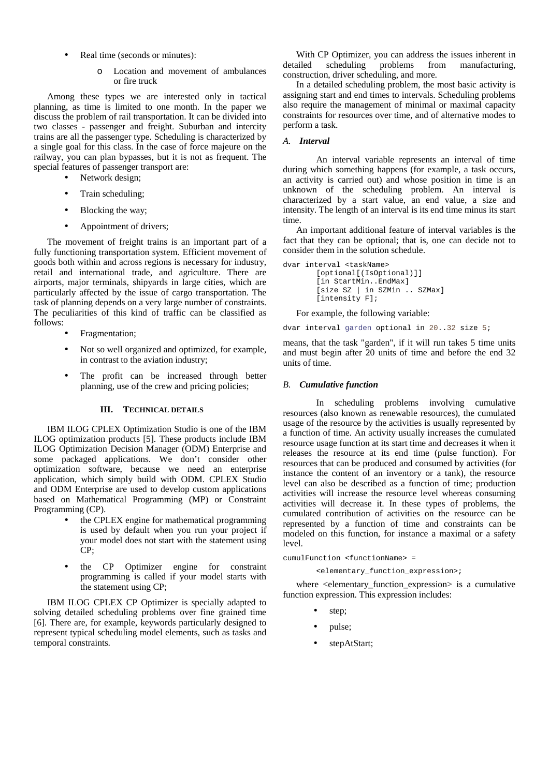- Real time (seconds or minutes):
	- o Location and movement of ambulances or fire truck

Among these types we are interested only in tactical planning, as time is limited to one month. In the paper we discuss the problem of rail transportation. It can be divided into two classes - passenger and freight. Suburban and intercity trains are all the passenger type. Scheduling is characterized by a single goal for this class. In the case of force majeure on the railway, you can plan bypasses, but it is not as frequent. The special features of passenger transport are:

- Network design;
- Train scheduling;
- Blocking the way;
- Appointment of drivers;

The movement of freight trains is an important part of a fully functioning transportation system. Efficient movement of goods both within and across regions is necessary for industry, retail and international trade, and agriculture. There are airports, major terminals, shipyards in large cities, which are particularly affected by the issue of cargo transportation. The task of planning depends on a very large number of constraints. The peculiarities of this kind of traffic can be classified as follows:

- Fragmentation;
- Not so well organized and optimized, for example, in contrast to the aviation industry;
- The profit can be increased through better planning, use of the crew and pricing policies;

# **III. TECHNICAL DETAILS**

IBM ILOG CPLEX Optimization Studio is one of the IBM ILOG optimization products [5]. These products include IBM ILOG Optimization Decision Manager (ODM) Enterprise and some packaged applications. We don't consider other optimization software, because we need an enterprise application, which simply build with ODM. CPLEX Studio and ODM Enterprise are used to develop custom applications based on Mathematical Programming (MP) or Constraint Programming (CP).

- the CPLEX engine for mathematical programming is used by default when you run your project if your model does not start with the statement using CP;
- the CP Optimizer engine for constraint programming is called if your model starts with the statement using CP;

IBM ILOG CPLEX CP Optimizer is specially adapted to solving detailed scheduling problems over fine grained time [6]. There are, for example, keywords particularly designed to represent typical scheduling model elements, such as tasks and temporal constraints.

With CP Optimizer, you can address the issues inherent in scheduling problems from manufacturing. detailed scheduling problems from manufacturing, construction, driver scheduling, and more.

In a detailed scheduling problem, the most basic activity is assigning start and end times to intervals. Scheduling problems also require the management of minimal or maximal capacity constraints for resources over time, and of alternative modes to perform a task.

#### *A. Interval*

 An interval variable represents an interval of time during which something happens (for example, a task occurs, an activity is carried out) and whose position in time is an unknown of the scheduling problem. An interval is characterized by a start value, an end value, a size and intensity. The length of an interval is its end time minus its start time.

An important additional feature of interval variables is the fact that they can be optional; that is, one can decide not to consider them in the solution schedule.

```
dvar interval <taskName> 
        [optional[(IsOptional)]] 
        [in StartMin..EndMax]
        [size SZ | in SZMin .. SZMax] 
        [intensity F];
```
For example, the following variable:

dvar interval garden optional in 20..32 size 5;

means, that the task "garden", if it will run takes 5 time units and must begin after 20 units of time and before the end 32 units of time.

#### *B. Cumulative function*

 In scheduling problems involving cumulative resources (also known as renewable resources), the cumulated usage of the resource by the activities is usually represented by a function of time. An activity usually increases the cumulated resource usage function at its start time and decreases it when it releases the resource at its end time (pulse function). For resources that can be produced and consumed by activities (for instance the content of an inventory or a tank), the resource level can also be described as a function of time; production activities will increase the resource level whereas consuming activities will decrease it. In these types of problems, the cumulated contribution of activities on the resource can be represented by a function of time and constraints can be modeled on this function, for instance a maximal or a safety level.

cumulFunction <functionName> =

<elementary\_function\_expression>;

where <elementary function expression> is a cumulative function expression. This expression includes:

- step:
- pulse;
- stepAtStart;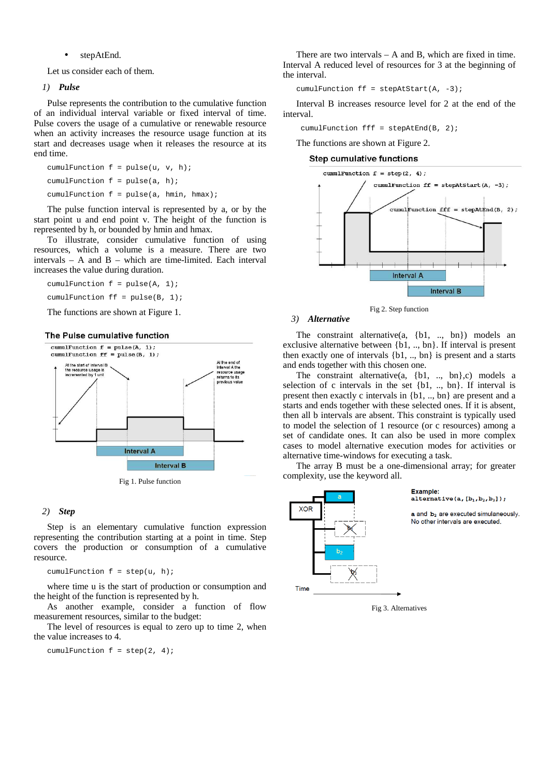stepAtEnd.

Let us consider each of them.

*1) Pulse* 

Pulse represents the contribution to the cumulative function of an individual interval variable or fixed interval of time. Pulse covers the usage of a cumulative or renewable resource when an activity increases the resource usage function at its start and decreases usage when it releases the resource at its end time.

cumulFunction  $f = pulse(u, v, h)$ ; cumulFunction  $f = pulse(a, h);$ cumulFunction  $f = pulse(a, hmin, hmax)$ ;

The pulse function interval is represented by a, or by the start point u and end point v. The height of the function is represented by h, or bounded by hmin and hmax.

To illustrate, consider cumulative function of using resources, which a volume is a measure. There are two intervals – A and B – which are time-limited. Each interval increases the value during duration.

```
cumulFunction f = pulse(A, 1);cumulFunction ff = pulse(B, 1);
```
The functions are shown at Figure 1.

#### The Pulse cumulative function



Fig 1. Pulse function

# *2) Step*

Step is an elementary cumulative function expression representing the contribution starting at a point in time. Step covers the production or consumption of a cumulative resource.

cumulFunction  $f = step(u, h)$ ;

where time u is the start of production or consumption and the height of the function is represented by h.

As another example, consider a function of flow measurement resources, similar to the budget:

The level of resources is equal to zero up to time 2, when the value increases to 4.

cumulFunction  $f = step(2, 4)$ ;

There are two intervals – A and B, which are fixed in time. Interval A reduced level of resources for 3 at the beginning of the interval.

cumulFunction  $ff = stepAtStart(A, -3);$ 

Interval B increases resource level for 2 at the end of the interval.

cumulFunction fff =  $stepAtEnd(B, 2)$ ;

The functions are shown at Figure 2.

#### Step cumulative functions



# *3) Alternative*

Fig 2. Step function

The constraint alternative(a, {b1, .., bn}) models an exclusive alternative between {b1, .., bn}. If interval is present then exactly one of intervals {b1, .., bn} is present and a starts and ends together with this chosen one.

The constraint alternative(a,  $\{b1, ..., bn\}$ ,c) models a selection of c intervals in the set {b1, .., bn}. If interval is present then exactly c intervals in {b1, .., bn} are present and a starts and ends together with these selected ones. If it is absent, then all b intervals are absent. This constraint is typically used to model the selection of 1 resource (or c resources) among a set of candidate ones. It can also be used in more complex cases to model alternative execution modes for activities or alternative time-windows for executing a task.

The array B must be a one-dimensional array; for greater complexity, use the keyword all.



Fig 3. Alternatives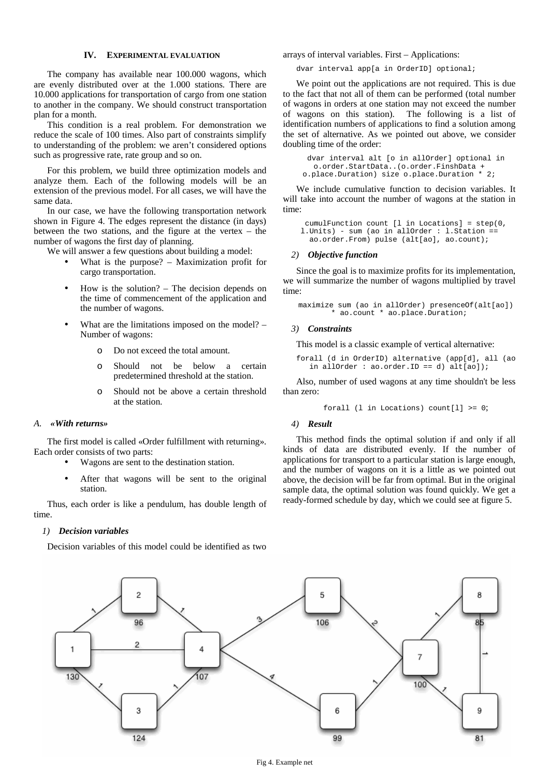# **IV. EXPERIMENTAL EVALUATION**

The company has available near 100.000 wagons, which are evenly distributed over at the 1.000 stations. There are 10.000 applications for transportation of cargo from one station to another in the company. We should construct transportation plan for a month.

This condition is a real problem. For demonstration we reduce the scale of 100 times. Also part of constraints simplify to understanding of the problem: we aren't considered options such as progressive rate, rate group and so on.

For this problem, we build three optimization models and analyze them. Each of the following models will be an extension of the previous model. For all cases, we will have the same data.

In our case, we have the following transportation network shown in Figure 4. The edges represent the distance (in days) between the two stations, and the figure at the vertex – the number of wagons the first day of planning.

We will answer a few questions about building a model:

- What is the purpose? Maximization profit for cargo transportation.
- How is the solution? The decision depends on the time of commencement of the application and the number of wagons.
- What are the limitations imposed on the model? Number of wagons:
	- o Do not exceed the total amount.
	- o Should not be below a certain predetermined threshold at the station.
	- o Should not be above a certain threshold at the station.

#### *A. «With returns»*

The first model is called «Order fulfillment with returning». Each order consists of two parts:

- Wagons are sent to the destination station.
- After that wagons will be sent to the original station.

Thus, each order is like a pendulum, has double length of time.

#### *1) Decision variables*

Decision variables of this model could be identified as two

arrays of interval variables. First – Applications:

dvar interval app[a in OrderID] optional;

We point out the applications are not required. This is due to the fact that not all of them can be performed (total number of wagons in orders at one station may not exceed the number of wagons on this station). The following is a list of identification numbers of applications to find a solution among the set of alternative. As we pointed out above, we consider doubling time of the order:

dvar interval alt [o in allOrder] optional in o.order.StartData..(o.order.FinshData + o.place.Duration) size o.place.Duration \* 2;

We include cumulative function to decision variables. It will take into account the number of wagons at the station in time:

```
cumulFunction count [l in Locations] = step(0, 
l.Units) - sum (ao in allOrder : l.Station == 
 ao.order.From) pulse (alt[ao], ao.count);
```
#### *2) Objective function*

Since the goal is to maximize profits for its implementation, we will summarize the number of wagons multiplied by travel time:

```
maximize sum (ao in allOrder) presenceOf(alt[ao]) 
        * ao.count * ao.place.Duration;
```
# *3) Constraints*

This model is a classic example of vertical alternative:

forall (d in OrderID) alternative (app[d], all (ao in allOrder : ao.order.ID == d) alt[ao]);

Also, number of used wagons at any time shouldn't be less than zero:

```
forall (1 in Locations) count[1] >= 0;
```
# *4) Result*

This method finds the optimal solution if and only if all kinds of data are distributed evenly. If the number of applications for transport to a particular station is large enough, and the number of wagons on it is a little as we pointed out above, the decision will be far from optimal. But in the original sample data, the optimal solution was found quickly. We get a ready-formed schedule by day, which we could see at figure 5.



#### Fig 4. Example net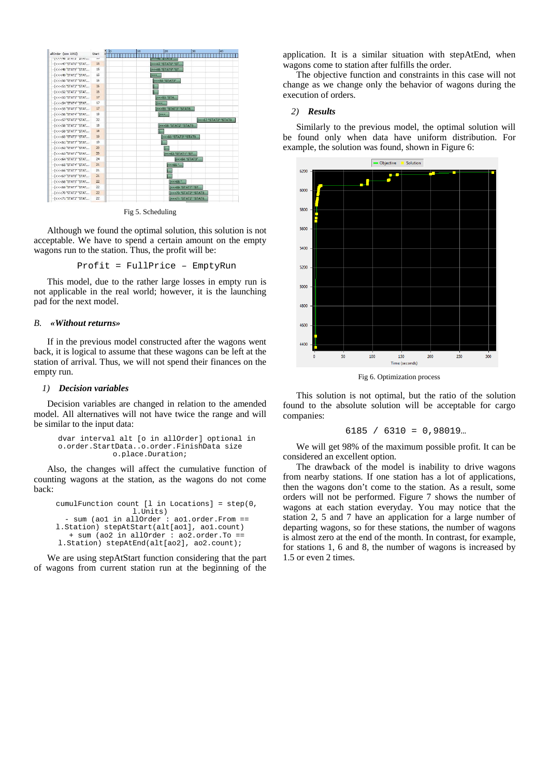

Fig 5. Scheduling

Although we found the optimal solution, this solution is not acceptable. We have to spend a certain amount on the empty wagons run to the station. Thus, the profit will be:

Profit = FullPrice – EmptyRun

This model, due to the rather large losses in empty run is not applicable in the real world; however, it is the launching pad for the next model.

#### *B. «Without returns»*

If in the previous model constructed after the wagons went back, it is logical to assume that these wagons can be left at the station of arrival. Thus, we will not spend their finances on the empty run.

#### *1) Decision variables*

Decision variables are changed in relation to the amended model. All alternatives will not have twice the range and will be similar to the input data:

```
dvar interval alt [o in allOrder] optional in 
o.order.StartData..o.order.FinishData size 
             o.place.Duration;
```
Also, the changes will affect the cumulative function of counting wagons at the station, as the wagons do not come back:

```
cumulFunction count [l in Locations] = step(0, 
                  l.Units) 
  - sum (ao1 in allOrder : ao1.order.From == 
l.Station) stepAtStart(alt[ao1], ao1.count) 
   + sum (ao2 in allOrder : ao2.order.To == 
l.Station) stepAtEnd(alt[ao2], ao2.count);
```
We are using stepAtStart function considering that the part of wagons from current station run at the beginning of the

application. It is a similar situation with stepAtEnd, when wagons come to station after fulfills the order.

The objective function and constraints in this case will not change as we change only the behavior of wagons during the execution of orders.

#### *2) Results*

Similarly to the previous model, the optimal solution will be found only when data have uniform distribution. For example, the solution was found, shown in Figure 6:



Fig 6. Optimization process

This solution is not optimal, but the ratio of the solution found to the absolute solution will be acceptable for cargo companies:

$$
6185 / 6310 = 0,98019...
$$

We will get 98% of the maximum possible profit. It can be considered an excellent option.

The drawback of the model is inability to drive wagons from nearby stations. If one station has a lot of applications, then the wagons don't come to the station. As a result, some orders will not be performed. Figure 7 shows the number of wagons at each station everyday. You may notice that the station 2, 5 and 7 have an application for a large number of departing wagons, so for these stations, the number of wagons is almost zero at the end of the month. In contrast, for example, for stations 1, 6 and 8, the number of wagons is increased by 1.5 or even 2 times.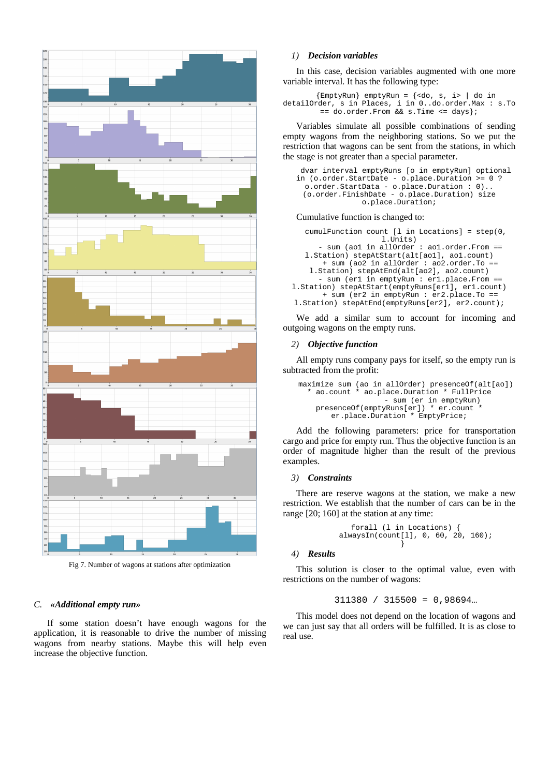

# *C. «Additional empty run»*

If some station doesn't have enough wagons for the application, it is reasonable to drive the number of missing wagons from nearby stations. Maybe this will help even increase the objective function.

#### *1) Decision variables*

In this case, decision variables augmented with one more variable interval. It has the following type:

 ${EmptyRun}$  emptyRun =  ${ < do, s, i> | do in}$ detailOrder, s in Places, i in 0..do.order.Max : s.To  $=$  do.order. From && s. Time  $\leq$  days};

Variables simulate all possible combinations of sending empty wagons from the neighboring stations. So we put the restriction that wagons can be sent from the stations, in which the stage is not greater than a special parameter.

```
dvar interval emptyRuns [o in emptyRun] optional 
in (o.order.StartDate - o.place.Duration >= 0 ? 
 o.order.StartData - o.place.Duration : 0).. 
 (o.order.FinishDate - o.place.Duration) size 
               o.place.Duration;
```
# Cumulative function is changed to:

```
cumulFunction count [l in Locations] = step(0, 
                     l.Units) 
      - sum (ao1 in allOrder : ao1.order.From ==
   l.Station) stepAtStart(alt[ao1], ao1.count) 
        + sum (ao2 in allOrder : ao2.order.To == 
    l.Station) stepAtEnd(alt[ao2], ao2.count) 
       sum (er1 in emptyRun : er1.place.From ==
l.Station) stepAtStart(emptyRuns[er1], er1.count) 
        + sum (er2 in emptyRun : er2.place.To == 
l.Station) stepAtEnd(emptyRuns[er2], er2.count);
```
We add a similar sum to account for incoming and outgoing wagons on the empty runs.

#### *2) Objective function*

All empty runs company pays for itself, so the empty run is subtracted from the profit:

```
maximize sum (ao in allOrder) presenceOf(alt[ao]) 
  * ao.count * ao.place.Duration * FullPrice 
                    - sum (er in emptyRun) 
   presenceOf(emptyRuns[er]) * er.count
       er.place.Duration * EmptyPrice;
```
Add the following parameters: price for transportation cargo and price for empty run. Thus the objective function is an order of magnitude higher than the result of the previous examples.

#### *3) Constraints*

There are reserve wagons at the station, we make a new restriction. We establish that the number of cars can be in the range [20; 160] at the station at any time:

forall (l in Locations) { alwaysIn(count[l], 0, 60, 20, 160); }

#### *4) Results*

This solution is closer to the optimal value, even with restrictions on the number of wagons:

$$
311380 / 315500 = 0,98694...
$$

This model does not depend on the location of wagons and we can just say that all orders will be fulfilled. It is as close to real use.